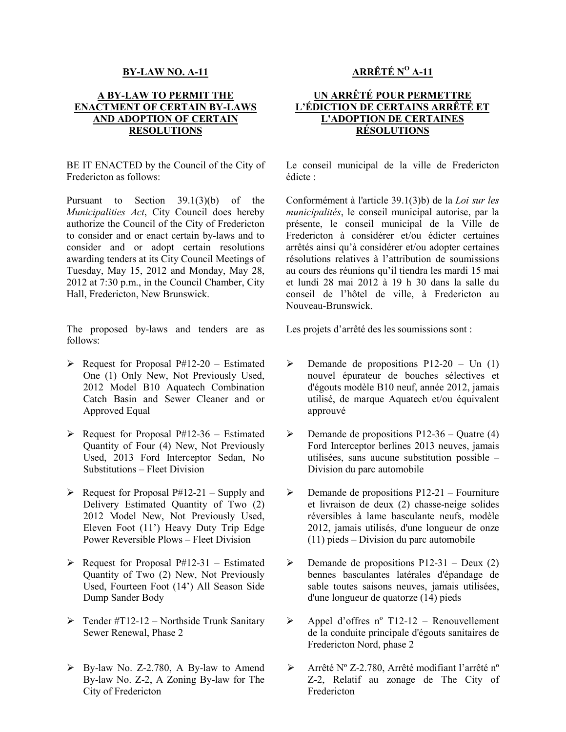## **BY-LAW NO. A-11**

## **A BY-LAW TO PERMIT THE ENACTMENT OF CERTAIN BY-LAWS AND ADOPTION OF CERTAIN RESOLUTIONS**

BE IT ENACTED by the Council of the City of Fredericton as follows:

Pursuant to Section 39.1(3)(b) of the *Municipalities Act*, City Council does hereby authorize the Council of the City of Fredericton to consider and or enact certain by-laws and to consider and or adopt certain resolutions awarding tenders at its City Council Meetings of Tuesday, May 15, 2012 and Monday, May 28, 2012 at 7:30 p.m., in the Council Chamber, City Hall, Fredericton, New Brunswick.

The proposed by-laws and tenders are as follows:

- $\triangleright$  Request for Proposal P#12-20 Estimated One (1) Only New, Not Previously Used, 2012 Model B10 Aquatech Combination Catch Basin and Sewer Cleaner and or Approved Equal
- $\triangleright$  Request for Proposal P#12-36 Estimated Quantity of Four (4) New, Not Previously Used, 2013 Ford Interceptor Sedan, No Substitutions – Fleet Division
- $\triangleright$  Request for Proposal P#12-21 Supply and Delivery Estimated Quantity of Two (2) 2012 Model New, Not Previously Used, Eleven Foot (11') Heavy Duty Trip Edge Power Reversible Plows – Fleet Division
- $\triangleright$  Request for Proposal P#12-31 Estimated Quantity of Two (2) New, Not Previously Used, Fourteen Foot (14') All Season Side Dump Sander Body
- $\triangleright$  Tender #T12-12 Northside Trunk Sanitary Sewer Renewal, Phase 2
- $\triangleright$  By-law No. Z-2.780, A By-law to Amend By-law No. Z-2, A Zoning By-law for The City of Fredericton

## **ARRÊTÉ N<sup>O</sup> A-11**

## **UN ARRÊTÉ POUR PERMETTRE L'ÉDICTION DE CERTAINS ARRÊTÉ ET L'ADOPTION DE CERTAINES RÉSOLUTIONS**

 Le conseil municipal de la ville de Fredericton édicte :

 Conformément à l'article 39.1(3)b) de la *Loi sur les municipalités*, le conseil municipal autorise, par la présente, le conseil municipal de la Ville de Fredericton à considérer et/ou édicter certaines arrêtés ainsi qu'à considérer et/ou adopter certaines résolutions relatives à l'attribution de soumissions au cours des réunions qu'il tiendra les mardi 15 mai et lundi 28 mai 2012 à 19 h 30 dans la salle du conseil de l'hôtel de ville, à Fredericton au Nouveau-Brunswick.

Les projets d'arrêté des les soumissions sont :

- $\triangleright$  Demande de propositions P12-20 Un (1) nouvel épurateur de bouches sélectives et d'égouts modèle B10 neuf, année 2012, jamais utilisé, de marque Aquatech et/ou équivalent approuvé
- $\triangleright$  Demande de propositions P12-36 Quatre (4) Ford Interceptor berlines 2013 neuves, jamais utilisées, sans aucune substitution possible – Division du parc automobile
- $\triangleright$  Demande de propositions P12-21 Fourniture et livraison de deux (2) chasse-neige solides réversibles à lame basculante neufs, modèle 2012, jamais utilisés, d'une longueur de onze (11) pieds – Division du parc automobile
- $\triangleright$  Demande de propositions P12-31 Deux (2) bennes basculantes latérales d'épandage de sable toutes saisons neuves, jamais utilisées, d'une longueur de quatorze (14) pieds
- $\triangleright$  Appel d'offres n° T12-12 Renouvellement de la conduite principale d'égouts sanitaires de Fredericton Nord, phase 2
- Arrêté Nº Z-2.780, Arrêté modifiant l'arrêté nº Z-2, Relatif au zonage de The City of Fredericton